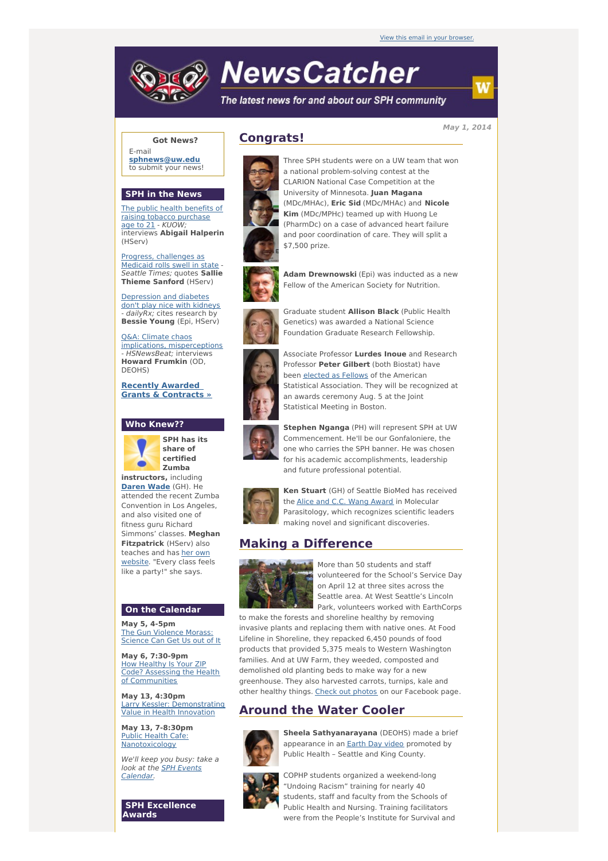# **NewsCatcher**

The latest news for and about our SPH community

**May 1, 2014**

w

### **Got News?**

E-mail **[sphnews@uw.edu](mailto:sphnews@uw.edu)** to submit your news!

#### **SPH in the News**

The public health benefits of raising tobacco [purchase](http://engage.washington.edu/site/R?i=Eb1Tqu-XIb7H08F0246t9w) age to 21 - KUOW: interviews **Abigail Halperin** (HServ)

Progress, [challenges](http://engage.washington.edu/site/R?i=Isz5NFpdtCYfBM9cv8mGuQ) as Medicaid rolls swell in state - Seattle Times; quotes **Sallie Thieme Sanford** (HServ)

[Depression](http://engage.washington.edu/site/R?i=kNlCClaiHjCuN3brrJkd6g) and diabetes don't play nice with kidneys - dailyRx; cites research by **Bessie Young** (Epi, HServ)

Q&A: Climate chaos implications, [misperceptions](http://engage.washington.edu/site/R?i=zf7xmiIcdAmpHJjT0QLXNw) - HSNewsBeat; interviews **Howard Frumkin** (OD, DEOHS)

**Recently Awarded Grants & [Contracts](http://engage.washington.edu/site/R?i=BZwrfyYs74FnYJXKQ0H3fA) »**

## **Who Knew??**



**SPH has its share of certified Zumba instructors,** including

**[Daren](http://engage.washington.edu/site/R?i=VYasHgkhclUQtekNc1IADg) Wade** (GH). He attended the recent Zumba Convention in Los Angeles, and also visited one of fitness guru Richard Simmons' classes. **Meghan Fitzpatrick** (HServ) also teaches and has her own [website.](http://engage.washington.edu/site/R?i=-bSS7UeWtVRgWv1VGDY9fw) "Every class feels like a party!" she says.

#### **On the Calendar**

**May 5, 4-5pm** The Gun [Violence](http://engage.washington.edu/site/R?i=rlHSDhVnJBYt23Lj2TxfHA) Morass: Science Can Get Us out of It

**May 6, 7:30-9pm** How Healthy Is Your ZIP Code? Assessing the Health of [Communities](http://engage.washington.edu/site/R?i=VdDdMc4qYDYlPu-WfBWjsA)

**May 13, 4:30pm** Larry Kessler: [Demonstrating](http://engage.washington.edu/site/R?i=qXbmAr4ICZ074dXO2srhKA) Value in Health Innovation

**May 13, 7-8:30pm** Public Health Cafe: [Nanotoxicology](http://engage.washington.edu/site/R?i=fG-0znA5BKGtUjEIDR0SJQ)

We'll keep you busy: take a look at the **SPH Events** [Calendar.](http://engage.washington.edu/site/R?i=A4ITvlBwz-0tsrKj13WPsA)

**SPH Excellence Awards**

## **Congrats!**



Three SPH students were on a UW team that won a national problem-solving contest at the CLARION National Case Competition at the University of Minnesota. **Juan Magana** (MDc/MHAc), **Eric Sid** (MDc/MHAc) and **Nicole Kim** (MDc/MPHc) teamed up with Huong Le (PharmDc) on a case of advanced heart failure and poor coordination of care. They will split a \$7,500 prize.



**Adam Drewnowski** (Epi) was inducted as a new Fellow of the American Society for Nutrition.

Graduate student **Allison Black** (Public Health Genetics) was awarded a National Science Foundation Graduate Research Fellowship.



Associate Professor **Lurdes Inoue** and Research Professor **Peter Gilbert** (both Biostat) have been [elected](http://engage.washington.edu/site/R?i=Y2UYW-tadEEXDOj4w4galg) as Fellows of the American Statistical Association. They will be recognized at an awards ceremony Aug. 5 at the Joint Statistical Meeting in Boston.



**Stephen Nganga** (PH) will represent SPH at UW Commencement. He'll be our Gonfaloniere, the one who carries the SPH banner. He was chosen for his academic accomplishments, leadership and future professional potential.



**Ken Stuart** (GH) of Seattle BioMed has received the Alice and C.C. Wang [Award](http://engage.washington.edu/site/R?i=vfpArjWoZc-rs2rzYWaJag) in Molecular Parasitology, which recognizes scientific leaders making novel and significant discoveries.

# **Making a Difference**



More than 50 students and staff volunteered for the School's Service Day on April 12 at three sites across the Seattle area. At West Seattle's Lincoln Park, volunteers worked with EarthCorps

to make the forests and shoreline healthy by removing invasive plants and replacing them with native ones. At Food Lifeline in Shoreline, they repacked 6,450 pounds of food products that provided 5,375 meals to Western Washington families. And at UW Farm, they weeded, composted and demolished old planting beds to make way for a new greenhouse. They also harvested carrots, turnips, kale and other healthy things. Check out [photos](http://engage.washington.edu/site/R?i=pqX9UJ4HjswDAZzYRlQXiA) on our Facebook page.

## **Around the Water Cooler**



**Sheela Sathyanarayana** (DEOHS) made a brief appearance in an Earth Day [video](http://engage.washington.edu/site/R?i=WQjvfWfxxLn75daqbV4a6A) promoted by Public Health – Seattle and King County.



COPHP students organized a weekend-long "Undoing Racism" training for nearly 40 students, staff and faculty from the Schools of Public Health and Nursing. Training facilitators were from the People's Institute for Survival and